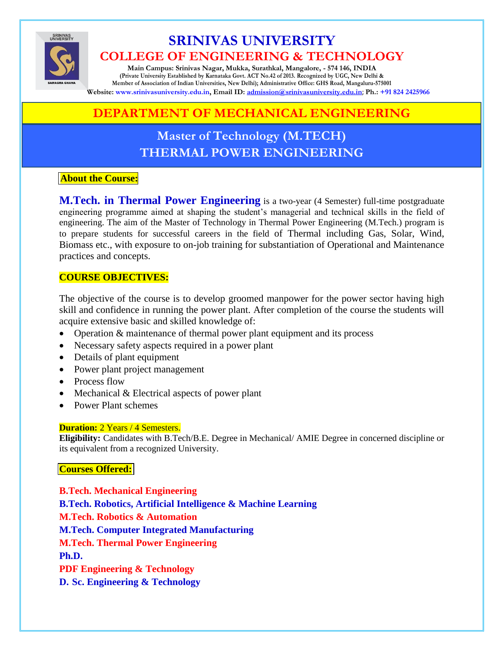

# **SRINIVAS UNIVERSITY COLLEGE OF ENGINEERING & TECHNOLOGY**

**Main Campus: Srinivas Nagar, Mukka, Surathkal, Mangalore, - 574 146, INDIA (Private University Established by Karnataka Govt. ACT No.42 of 2013. Recognized by UGC, New Delhi & Member of Association of Indian Universities, New Delhi); Administrative Office: GHS Road, Mangaluru-575001 Website: www.srinivasuniversity.edu.in, Email ID: [admission@srinivasuniversity.edu.in](mailto:admission@srinivasuniversity.edu.in)**; **Ph.: [+91 824 2425966](tel:+918242425966)**

# **DEPARTMENT OF MECHANICAL ENGINEERING**

# **Master of Technology (M.TECH) THERMAL POWER ENGINEERING**

### **About the Course:**

**M.Tech. in Thermal Power Engineering** is a two-year (4 Semester) full-time postgraduate engineering programme aimed at shaping the student's managerial and technical skills in the field of engineering. The aim of the Master of Technology in Thermal Power Engineering (M.Tech.) program is to prepare students for successful careers in the field of Thermal including Gas, Solar, Wind, Biomass etc., with exposure to on-job training for substantiation of Operational and Maintenance practices and concepts.

### **COURSE OBJECTIVES:**

The objective of the course is to develop groomed manpower for the power sector having high skill and confidence in running the power plant. After completion of the course the students will acquire extensive basic and skilled knowledge of:

- Operation & maintenance of thermal power plant equipment and its process
- Necessary safety aspects required in a power plant
- Details of plant equipment
- Power plant project management
- Process flow
- $\bullet$  Mechanical & Electrical aspects of power plant
- Power Plant schemes

#### **Duration:** 2 Years / 4 Semesters.

**Eligibility:** Candidates with B.Tech/B.E. Degree in Mechanical/ AMIE Degree in concerned discipline or its equivalent from a recognized University.

### **Courses Offered:**

**B.Tech. Mechanical Engineering B.Tech. Robotics, Artificial Intelligence & Machine Learning M.Tech. Robotics & Automation M.Tech. Computer Integrated Manufacturing M.Tech. Thermal Power Engineering Ph.D. PDF Engineering & Technology D. Sc. Engineering & Technology**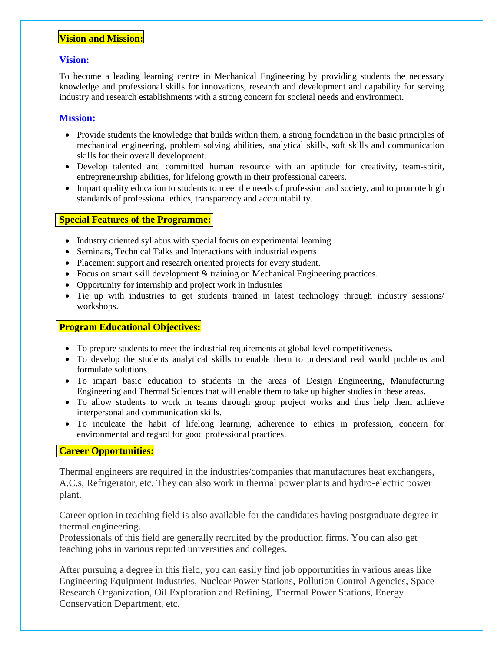#### **Vision and Mission:**

#### **Vision:**

To become a leading learning centre in Mechanical Engineering by providing students the necessary knowledge and professional skills for innovations, research and development and capability for serving industry and research establishments with a strong concern for societal needs and environment.

#### **Mission:**

- Provide students the knowledge that builds within them, a strong foundation in the basic principles of mechanical engineering, problem solving abilities, analytical skills, soft skills and communication skills for their overall development.
- Develop talented and committed human resource with an aptitude for creativity, team-spirit, entrepreneurship abilities, for lifelong growth in their professional careers.
- Impart quality education to students to meet the needs of profession and society, and to promote high standards of professional ethics, transparency and accountability.

#### **Special Features of the Programme:**

- Industry oriented syllabus with special focus on experimental learning
- Seminars, Technical Talks and Interactions with industrial experts
- Placement support and research oriented projects for every student.
- Focus on smart skill development & training on Mechanical Engineering practices.
- Opportunity for internship and project work in industries
- Tie up with industries to get students trained in latest technology through industry sessions/ workshops.

#### **Program Educational Objectives:**

- To prepare students to meet the industrial requirements at global level competitiveness.
- To develop the students analytical skills to enable them to understand real world problems and formulate solutions.
- To impart basic education to students in the areas of Design Engineering, Manufacturing Engineering and Thermal Sciences that will enable them to take up higher studies in these areas.
- To allow students to work in teams through group project works and thus help them achieve interpersonal and communication skills.
- To inculcate the habit of lifelong learning, adherence to ethics in profession, concern for environmental and regard for good professional practices.

#### **Career Opportunities:**

Thermal engineers are required in the industries/companies that manufactures heat exchangers, A.C.s, Refrigerator, etc. They can also work in thermal power plants and hydro-electric power plant.

Career option in teaching field is also available for the candidates having postgraduate degree in thermal engineering.

Professionals of this field are generally recruited by the production firms. You can also get teaching jobs in various reputed universities and colleges.

After pursuing a degree in this field, you can easily find job opportunities in various areas like Engineering Equipment Industries, Nuclear Power Stations, Pollution Control Agencies, Space Research Organization, Oil Exploration and Refining, Thermal Power Stations, Energy Conservation Department, etc.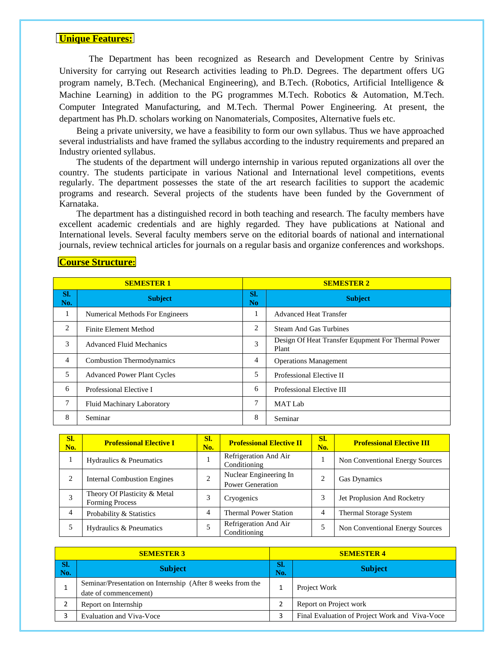#### **Unique Features:**

The Department has been recognized as Research and Development Centre by Srinivas University for carrying out Research activities leading to Ph.D. Degrees. The department offers UG program namely, B.Tech. (Mechanical Engineering), and B.Tech. (Robotics, Artificial Intelligence & Machine Learning) in addition to the PG programmes M.Tech. Robotics & Automation, M.Tech. Computer Integrated Manufacturing, and M.Tech. Thermal Power Engineering. At present, the department has Ph.D. scholars working on Nanomaterials, Composites, Alternative fuels etc.

Being a private university, we have a feasibility to form our own syllabus. Thus we have approached several industrialists and have framed the syllabus according to the industry requirements and prepared an Industry oriented syllabus.

The students of the department will undergo internship in various reputed organizations all over the country. The students participate in various National and International level competitions, events regularly. The department possesses the state of the art research facilities to support the academic programs and research. Several projects of the students have been funded by the Government of Karnataka.

The department has a distinguished record in both teaching and research. The faculty members have excellent academic credentials and are highly regarded. They have publications at National and International levels. Several faculty members serve on the editorial boards of national and international journals, review technical articles for journals on a regular basis and organize conferences and workshops.

#### **Course Structure:**

| <b>SEMESTER 1</b> |                                        |                       | <b>SEMESTER 2</b>                                           |  |  |  |
|-------------------|----------------------------------------|-----------------------|-------------------------------------------------------------|--|--|--|
| SI.<br>No.        | <b>Subject</b>                         | SI.<br>N <sub>o</sub> | <b>Subject</b>                                              |  |  |  |
| 1                 | <b>Numerical Methods For Engineers</b> |                       | <b>Advanced Heat Transfer</b>                               |  |  |  |
| 2                 | Finite Element Method                  | 2                     | <b>Steam And Gas Turbines</b>                               |  |  |  |
| 3                 | <b>Advanced Fluid Mechanics</b>        | 3                     | Design Of Heat Transfer Equpment For Thermal Power<br>Plant |  |  |  |
| $\overline{4}$    | <b>Combustion Thermodynamics</b>       | 4                     | <b>Operations Management</b>                                |  |  |  |
| 5                 | <b>Advanced Power Plant Cycles</b>     | 5                     | Professional Elective II                                    |  |  |  |
| 6                 | Professional Elective I                | 6                     | Professional Elective III                                   |  |  |  |
| 7                 | <b>Fluid Machinary Laboratory</b>      | 7                     | <b>MAT Lab</b>                                              |  |  |  |
| 8                 | Seminar                                | 8                     | Seminar                                                     |  |  |  |

| Sl.<br>No. | <b>Professional Elective I</b>                         | Sl.<br>No. | <b>Professional Elective II</b>                   | Sl.<br>No.     | <b>Professional Elective III</b>       |
|------------|--------------------------------------------------------|------------|---------------------------------------------------|----------------|----------------------------------------|
|            | Hydraulics & Pneumatics                                |            | Refrigeration And Air<br>Conditioning             |                | <b>Non Conventional Energy Sources</b> |
| 2          | <b>Internal Combustion Engines</b>                     | 2          | Nuclear Engineering In<br><b>Power Generation</b> | 2              | <b>Gas Dynamics</b>                    |
| 3          | Theory Of Plasticity & Metal<br><b>Forming Process</b> | 3          | Cryogenics                                        | 3              | Jet Proplusion And Rocketry            |
| 4          | Probability & Statistics                               | 4          | <b>Thermal Power Station</b>                      | $\overline{4}$ | Thermal Storage System                 |
|            | Hydraulics & Pneumatics                                |            | Refrigeration And Air<br>Conditioning             | 5              | Non Conventional Energy Sources        |

| <b>SEMESTER 3</b>  |                                                                                     |            | <b>SEMESTER 4</b>                              |  |  |
|--------------------|-------------------------------------------------------------------------------------|------------|------------------------------------------------|--|--|
| $\vert$ Sl.<br>No. | <b>Subject</b>                                                                      | SI.<br>No. | <b>Subject</b>                                 |  |  |
|                    | Seminar/Presentation on Internship (After 8 weeks from the<br>date of commencement) |            | Project Work                                   |  |  |
|                    | Report on Internship                                                                |            | Report on Project work                         |  |  |
|                    | Evaluation and Viva-Voce                                                            |            | Final Evaluation of Project Work and Viva-Voce |  |  |